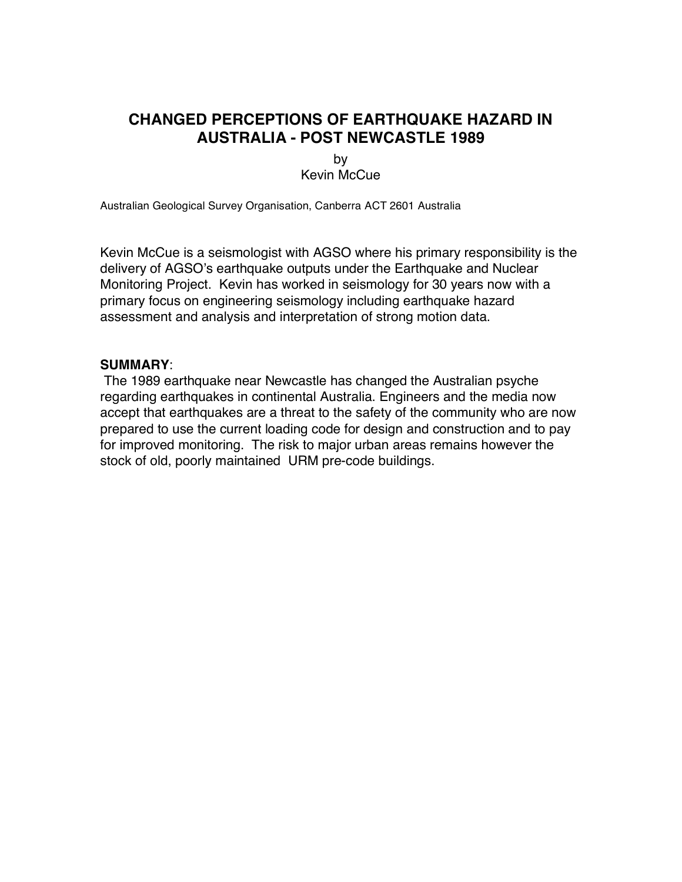# **CHANGED PERCEPTIONS OF EARTHQUAKE HAZARD IN AUSTRALIA - POST NEWCASTLE 1989**

by Kevin McCue

Australian Geological Survey Organisation, Canberra ACT 2601 Australia

Kevin McCue is a seismologist with AGSO where his primary responsibility is the delivery of AGSO's earthquake outputs under the Earthquake and Nuclear Monitoring Project. Kevin has worked in seismology for 30 years now with a primary focus on engineering seismology including earthquake hazard assessment and analysis and interpretation of strong motion data.

#### **SUMMARY**:

 The 1989 earthquake near Newcastle has changed the Australian psyche regarding earthquakes in continental Australia. Engineers and the media now accept that earthquakes are a threat to the safety of the community who are now prepared to use the current loading code for design and construction and to pay for improved monitoring. The risk to major urban areas remains however the stock of old, poorly maintained URM pre-code buildings.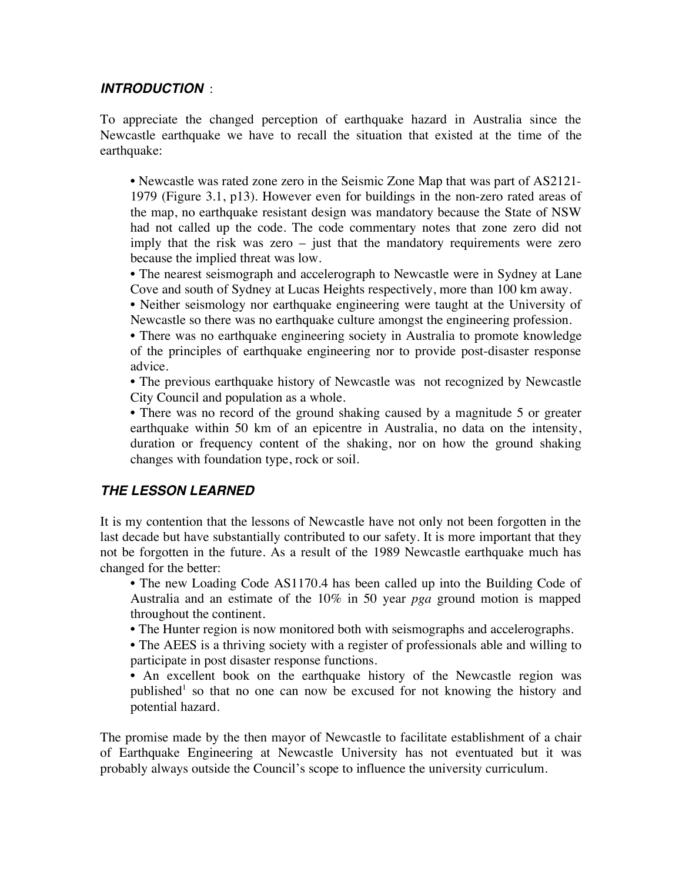#### *INTRODUCTION* :

To appreciate the changed perception of earthquake hazard in Australia since the Newcastle earthquake we have to recall the situation that existed at the time of the earthquake:

• Newcastle was rated zone zero in the Seismic Zone Map that was part of AS2121- 1979 (Figure 3.1, p13). However even for buildings in the non-zero rated areas of the map, no earthquake resistant design was mandatory because the State of NSW had not called up the code. The code commentary notes that zone zero did not imply that the risk was zero – just that the mandatory requirements were zero because the implied threat was low.

• The nearest seismograph and accelerograph to Newcastle were in Sydney at Lane Cove and south of Sydney at Lucas Heights respectively, more than 100 km away.

• Neither seismology nor earthquake engineering were taught at the University of Newcastle so there was no earthquake culture amongst the engineering profession.

• There was no earthquake engineering society in Australia to promote knowledge of the principles of earthquake engineering nor to provide post-disaster response advice.

• The previous earthquake history of Newcastle was not recognized by Newcastle City Council and population as a whole.

• There was no record of the ground shaking caused by a magnitude 5 or greater earthquake within 50 km of an epicentre in Australia, no data on the intensity, duration or frequency content of the shaking, nor on how the ground shaking changes with foundation type, rock or soil.

### *THE LESSON LEARNED*

It is my contention that the lessons of Newcastle have not only not been forgotten in the last decade but have substantially contributed to our safety. It is more important that they not be forgotten in the future. As a result of the 1989 Newcastle earthquake much has changed for the better:

• The new Loading Code AS1170.4 has been called up into the Building Code of Australia and an estimate of the 10% in 50 year *pga* ground motion is mapped throughout the continent.

• The Hunter region is now monitored both with seismographs and accelerographs.

• The AEES is a thriving society with a register of professionals able and willing to participate in post disaster response functions.

• An excellent book on the earthquake history of the Newcastle region was published<sup>1</sup> so that no one can now be excused for not knowing the history and potential hazard.

The promise made by the then mayor of Newcastle to facilitate establishment of a chair of Earthquake Engineering at Newcastle University has not eventuated but it was probably always outside the Council's scope to influence the university curriculum.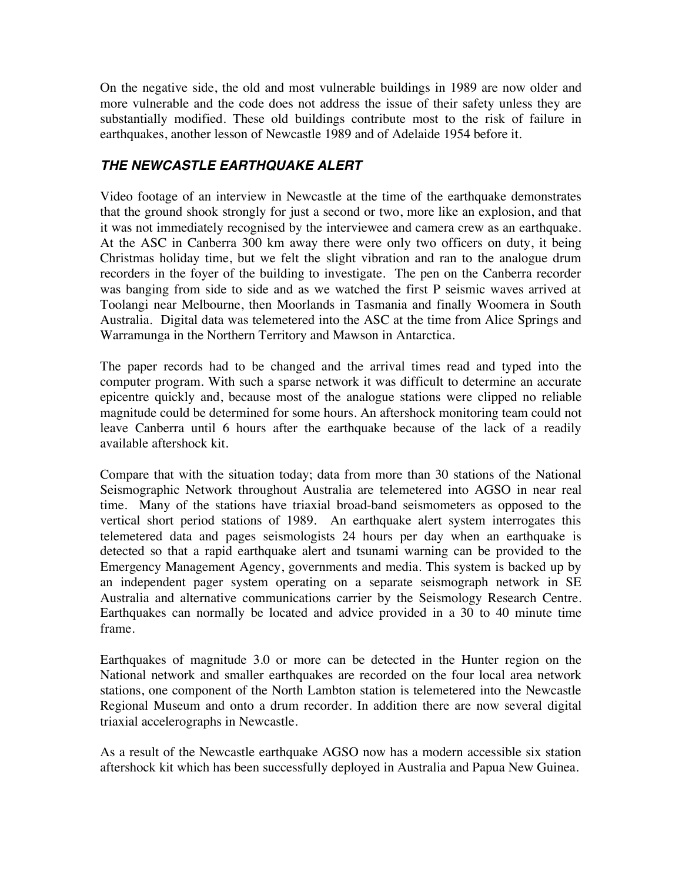On the negative side, the old and most vulnerable buildings in 1989 are now older and more vulnerable and the code does not address the issue of their safety unless they are substantially modified. These old buildings contribute most to the risk of failure in earthquakes, another lesson of Newcastle 1989 and of Adelaide 1954 before it.

#### *THE NEWCASTLE EARTHQUAKE ALERT*

Video footage of an interview in Newcastle at the time of the earthquake demonstrates that the ground shook strongly for just a second or two, more like an explosion, and that it was not immediately recognised by the interviewee and camera crew as an earthquake. At the ASC in Canberra 300 km away there were only two officers on duty, it being Christmas holiday time, but we felt the slight vibration and ran to the analogue drum recorders in the foyer of the building to investigate. The pen on the Canberra recorder was banging from side to side and as we watched the first P seismic waves arrived at Toolangi near Melbourne, then Moorlands in Tasmania and finally Woomera in South Australia. Digital data was telemetered into the ASC at the time from Alice Springs and Warramunga in the Northern Territory and Mawson in Antarctica.

The paper records had to be changed and the arrival times read and typed into the computer program. With such a sparse network it was difficult to determine an accurate epicentre quickly and, because most of the analogue stations were clipped no reliable magnitude could be determined for some hours. An aftershock monitoring team could not leave Canberra until 6 hours after the earthquake because of the lack of a readily available aftershock kit.

Compare that with the situation today; data from more than 30 stations of the National Seismographic Network throughout Australia are telemetered into AGSO in near real time. Many of the stations have triaxial broad-band seismometers as opposed to the vertical short period stations of 1989. An earthquake alert system interrogates this telemetered data and pages seismologists 24 hours per day when an earthquake is detected so that a rapid earthquake alert and tsunami warning can be provided to the Emergency Management Agency, governments and media. This system is backed up by an independent pager system operating on a separate seismograph network in SE Australia and alternative communications carrier by the Seismology Research Centre. Earthquakes can normally be located and advice provided in a 30 to 40 minute time frame.

Earthquakes of magnitude 3.0 or more can be detected in the Hunter region on the National network and smaller earthquakes are recorded on the four local area network stations, one component of the North Lambton station is telemetered into the Newcastle Regional Museum and onto a drum recorder. In addition there are now several digital triaxial accelerographs in Newcastle.

As a result of the Newcastle earthquake AGSO now has a modern accessible six station aftershock kit which has been successfully deployed in Australia and Papua New Guinea.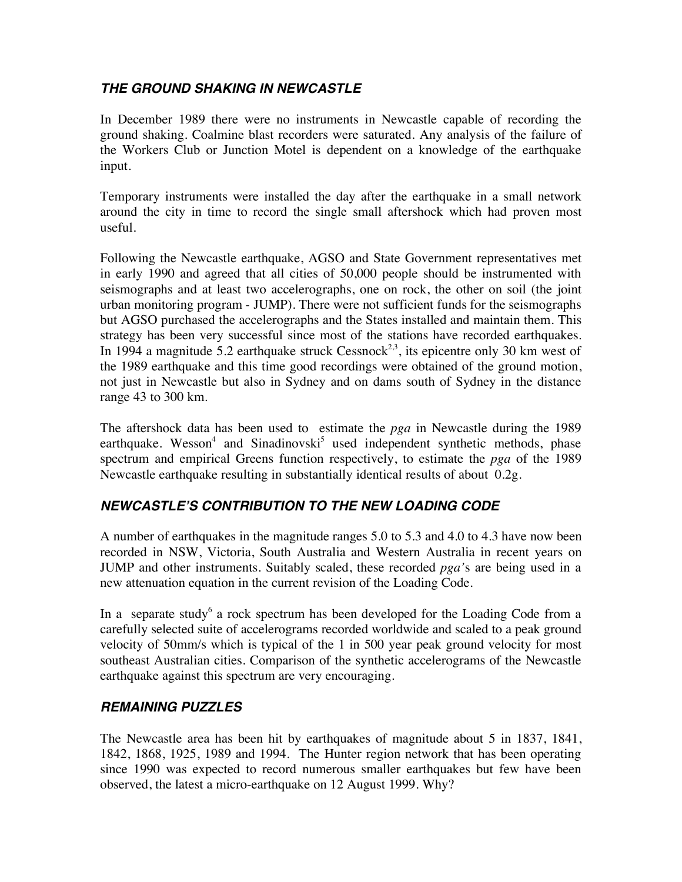## *THE GROUND SHAKING IN NEWCASTLE*

In December 1989 there were no instruments in Newcastle capable of recording the ground shaking. Coalmine blast recorders were saturated. Any analysis of the failure of the Workers Club or Junction Motel is dependent on a knowledge of the earthquake input.

Temporary instruments were installed the day after the earthquake in a small network around the city in time to record the single small aftershock which had proven most useful.

Following the Newcastle earthquake, AGSO and State Government representatives met in early 1990 and agreed that all cities of 50,000 people should be instrumented with seismographs and at least two accelerographs, one on rock, the other on soil (the joint urban monitoring program - JUMP). There were not sufficient funds for the seismographs but AGSO purchased the accelerographs and the States installed and maintain them. This strategy has been very successful since most of the stations have recorded earthquakes. In 1994 a magnitude 5.2 earthquake struck Cessnock<sup>2,3</sup>, its epicentre only 30 km west of the 1989 earthquake and this time good recordings were obtained of the ground motion, not just in Newcastle but also in Sydney and on dams south of Sydney in the distance range 43 to 300 km.

The aftershock data has been used to estimate the *pga* in Newcastle during the 1989 earthquake. Wesson<sup>4</sup> and Sinadinovski<sup>5</sup> used independent synthetic methods, phase spectrum and empirical Greens function respectively, to estimate the *pga* of the 1989 Newcastle earthquake resulting in substantially identical results of about 0.2g.

### *NEWCASTLE***'***S CONTRIBUTION TO THE NEW LOADING CODE*

A number of earthquakes in the magnitude ranges 5.0 to 5.3 and 4.0 to 4.3 have now been recorded in NSW, Victoria, South Australia and Western Australia in recent years on JUMP and other instruments. Suitably scaled, these recorded *pga'*s are being used in a new attenuation equation in the current revision of the Loading Code.

In a separate study<sup>6</sup> a rock spectrum has been developed for the Loading Code from a carefully selected suite of accelerograms recorded worldwide and scaled to a peak ground velocity of 50mm/s which is typical of the 1 in 500 year peak ground velocity for most southeast Australian cities. Comparison of the synthetic accelerograms of the Newcastle earthquake against this spectrum are very encouraging.

### *REMAINING PUZZLES*

The Newcastle area has been hit by earthquakes of magnitude about 5 in 1837, 1841, 1842, 1868, 1925, 1989 and 1994. The Hunter region network that has been operating since 1990 was expected to record numerous smaller earthquakes but few have been observed, the latest a micro-earthquake on 12 August 1999. Why?